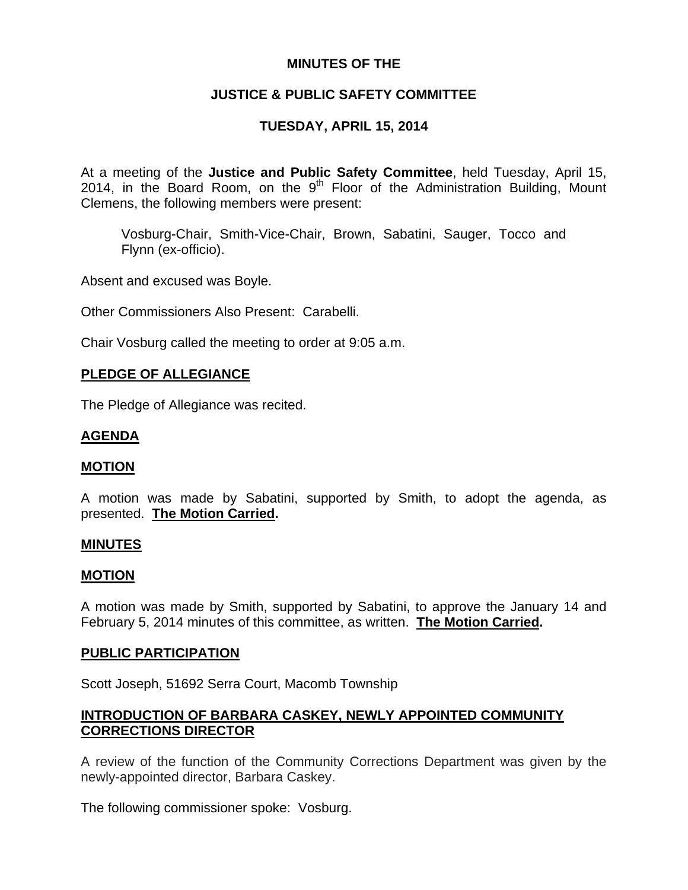# **MINUTES OF THE**

# **JUSTICE & PUBLIC SAFETY COMMITTEE**

# **TUESDAY, APRIL 15, 2014**

At a meeting of the **Justice and Public Safety Committee**, held Tuesday, April 15, 2014, in the Board Room, on the  $9<sup>th</sup>$  Floor of the Administration Building, Mount Clemens, the following members were present:

Vosburg-Chair, Smith-Vice-Chair, Brown, Sabatini, Sauger, Tocco and Flynn (ex-officio).

Absent and excused was Boyle.

Other Commissioners Also Present: Carabelli.

Chair Vosburg called the meeting to order at 9:05 a.m.

# **PLEDGE OF ALLEGIANCE**

The Pledge of Allegiance was recited.

## **AGENDA**

### **MOTION**

A motion was made by Sabatini, supported by Smith, to adopt the agenda, as presented. **The Motion Carried.** 

### **MINUTES**

#### **MOTION**

A motion was made by Smith, supported by Sabatini, to approve the January 14 and February 5, 2014 minutes of this committee, as written. **The Motion Carried.** 

### **PUBLIC PARTICIPATION**

Scott Joseph, 51692 Serra Court, Macomb Township

# **INTRODUCTION OF BARBARA CASKEY, NEWLY APPOINTED COMMUNITY CORRECTIONS DIRECTOR**

A review of the function of the Community Corrections Department was given by the newly-appointed director, Barbara Caskey.

The following commissioner spoke: Vosburg.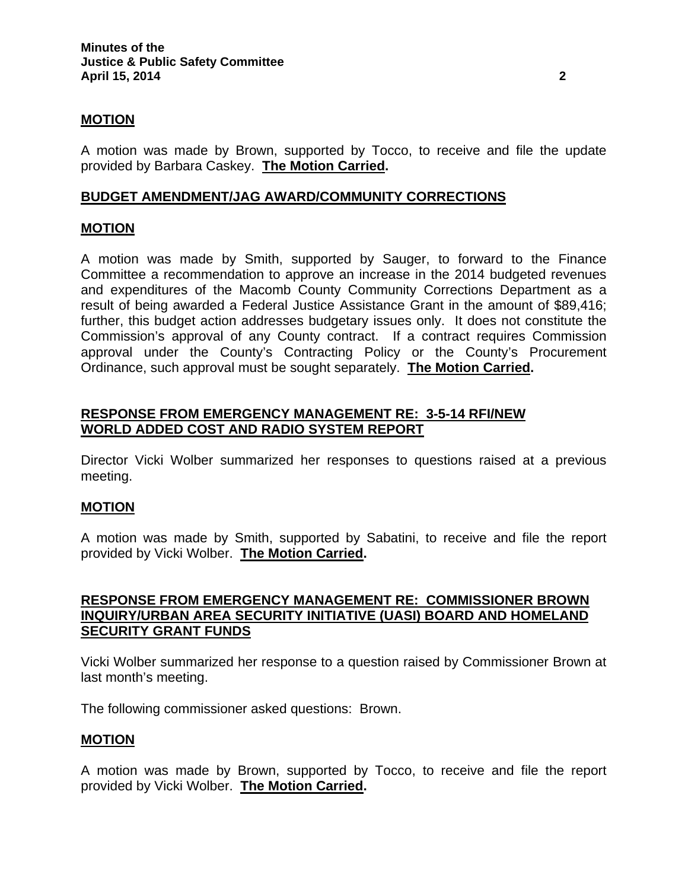### **MOTION**

A motion was made by Brown, supported by Tocco, to receive and file the update provided by Barbara Caskey. **The Motion Carried.** 

### **BUDGET AMENDMENT/JAG AWARD/COMMUNITY CORRECTIONS**

## **MOTION**

A motion was made by Smith, supported by Sauger, to forward to the Finance Committee a recommendation to approve an increase in the 2014 budgeted revenues and expenditures of the Macomb County Community Corrections Department as a result of being awarded a Federal Justice Assistance Grant in the amount of \$89,416; further, this budget action addresses budgetary issues only. It does not constitute the Commission's approval of any County contract. If a contract requires Commission approval under the County's Contracting Policy or the County's Procurement Ordinance, such approval must be sought separately. **The Motion Carried.** 

# **RESPONSE FROM EMERGENCY MANAGEMENT RE: 3-5-14 RFI/NEW WORLD ADDED COST AND RADIO SYSTEM REPORT**

Director Vicki Wolber summarized her responses to questions raised at a previous meeting.

### **MOTION**

A motion was made by Smith, supported by Sabatini, to receive and file the report provided by Vicki Wolber. **The Motion Carried.** 

### **RESPONSE FROM EMERGENCY MANAGEMENT RE: COMMISSIONER BROWN INQUIRY/URBAN AREA SECURITY INITIATIVE (UASI) BOARD AND HOMELAND SECURITY GRANT FUNDS**

Vicki Wolber summarized her response to a question raised by Commissioner Brown at last month's meeting.

The following commissioner asked questions: Brown.

### **MOTION**

A motion was made by Brown, supported by Tocco, to receive and file the report provided by Vicki Wolber. **The Motion Carried.**